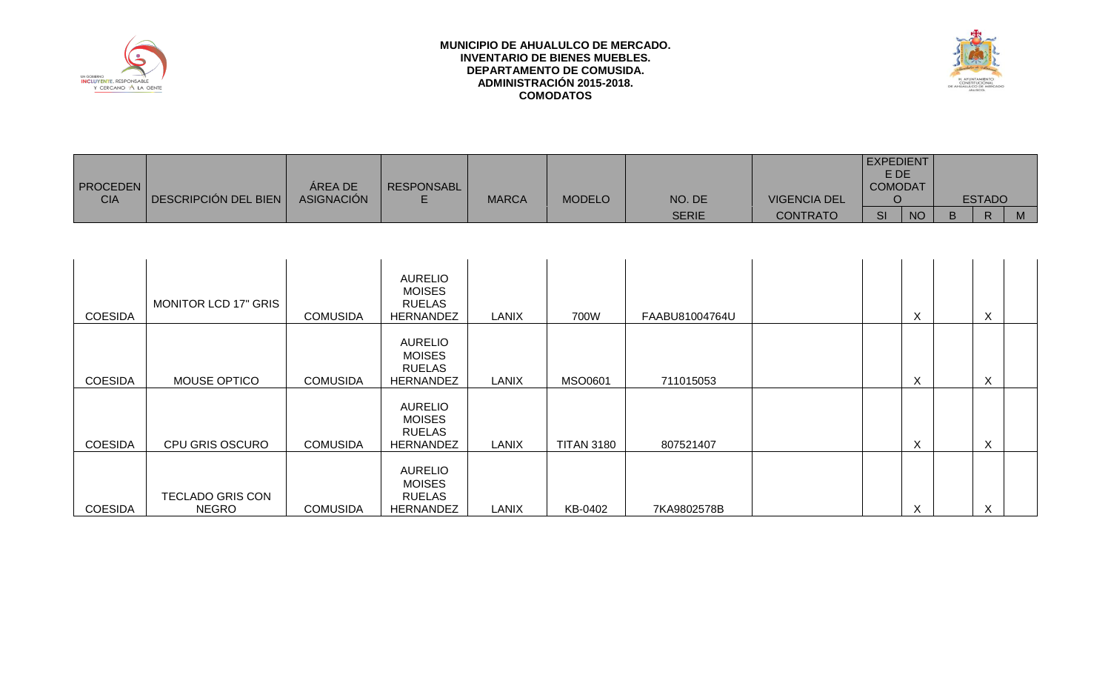



| <b>PROCEDEN</b> |                      | AREA DE           | <b>RESPONSABL</b> |              |               |              |                     | <b>EXPEDIENT</b><br>E DE<br><b>COMODAT</b> |               |   |
|-----------------|----------------------|-------------------|-------------------|--------------|---------------|--------------|---------------------|--------------------------------------------|---------------|---|
| <b>CIA</b>      | DESCRIPCIÓN DEL BIEN | <b>ASIGNACIÓN</b> |                   | <b>MARCA</b> | <b>MODELO</b> | NO. DE       | <b>VIGENCIA DEL</b> |                                            | <b>ESTADO</b> |   |
|                 |                      |                   |                   |              |               | <b>SERIE</b> | <b>CONTRATO</b>     | <b>NO</b><br><b>SI</b>                     | D.            | M |

| <b>COESIDA</b> | <b>MONITOR LCD 17" GRIS</b>             | <b>COMUSIDA</b> | <b>AURELIO</b><br><b>MOISES</b><br><b>RUELAS</b><br><b>HERNANDEZ</b> | <b>LANIX</b> | 700W              | FAABU81004764U | Χ                         | X         |  |
|----------------|-----------------------------------------|-----------------|----------------------------------------------------------------------|--------------|-------------------|----------------|---------------------------|-----------|--|
| <b>COESIDA</b> | MOUSE OPTICO                            | <b>COMUSIDA</b> | <b>AURELIO</b><br><b>MOISES</b><br><b>RUELAS</b><br>HERNANDEZ        | LANIX        | <b>MSO0601</b>    | 711015053      | X                         | X         |  |
| <b>COESIDA</b> | <b>CPU GRIS OSCURO</b>                  | <b>COMUSIDA</b> | <b>AURELIO</b><br><b>MOISES</b><br><b>RUELAS</b><br><b>HERNANDEZ</b> | <b>LANIX</b> | <b>TITAN 3180</b> | 807521407      | X                         | X         |  |
| <b>COESIDA</b> | <b>TECLADO GRIS CON</b><br><b>NEGRO</b> | <b>COMUSIDA</b> | <b>AURELIO</b><br><b>MOISES</b><br><b>RUELAS</b><br><b>HERNANDEZ</b> | LANIX        | KB-0402           | 7KA9802578B    | $\checkmark$<br>$\lambda$ | $\lambda$ |  |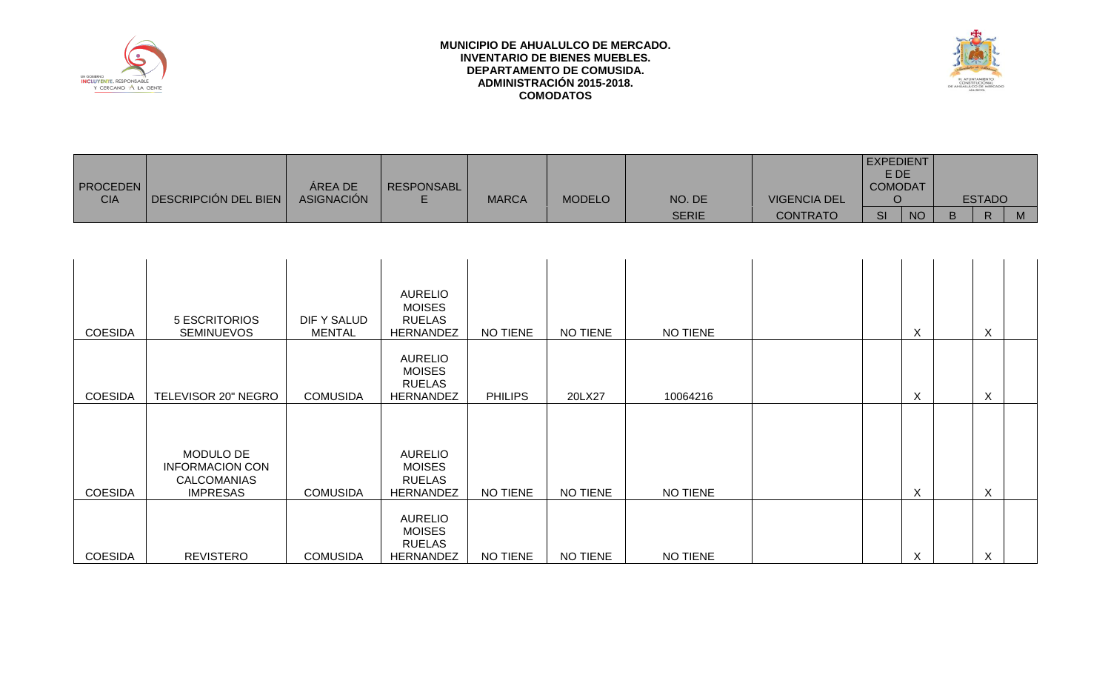



| <b>PROCEDEN</b><br><b>CIA</b> | DESCRIPCIÓN DEL BIEN                                                  | ÁREA DE<br><b>ASIGNACIÓN</b>        | <b>RESPONSABL</b><br>E                                               | <b>MARCA</b>   | <b>MODELO</b>   | NO. DE          | <b>VIGENCIA DEL</b> | EXPEDIENT<br>E DE<br><b>COMODAT</b><br>$\circ$ |                           |              | <b>ESTADO</b>             |   |
|-------------------------------|-----------------------------------------------------------------------|-------------------------------------|----------------------------------------------------------------------|----------------|-----------------|-----------------|---------------------|------------------------------------------------|---------------------------|--------------|---------------------------|---|
|                               |                                                                       |                                     |                                                                      |                |                 | <b>SERIE</b>    | <b>CONTRATO</b>     | <b>SI</b>                                      | <b>NO</b>                 | $\mathsf{B}$ | $\mathsf{R}$              | M |
|                               |                                                                       |                                     |                                                                      |                |                 |                 |                     |                                                |                           |              |                           |   |
| <b>COESIDA</b>                | <b>5 ESCRITORIOS</b><br><b>SEMINUEVOS</b>                             | <b>DIF Y SALUD</b><br><b>MENTAL</b> | <b>AURELIO</b><br><b>MOISES</b><br><b>RUELAS</b><br><b>HERNANDEZ</b> | NO TIENE       | NO TIENE        | NO TIENE        |                     |                                                | $\times$                  |              | $\boldsymbol{X}$          |   |
| <b>COESIDA</b>                | TELEVISOR 20" NEGRO                                                   | <b>COMUSIDA</b>                     | <b>AURELIO</b><br><b>MOISES</b><br><b>RUELAS</b><br><b>HERNANDEZ</b> | <b>PHILIPS</b> | 20LX27          | 10064216        |                     |                                                | $\times$                  |              | $\boldsymbol{\mathsf{X}}$ |   |
| <b>COESIDA</b>                | MODULO DE<br><b>INFORMACION CON</b><br>CALCOMANIAS<br><b>IMPRESAS</b> | <b>COMUSIDA</b>                     | <b>AURELIO</b><br><b>MOISES</b><br><b>RUELAS</b><br><b>HERNANDEZ</b> | NO TIENE       | NO TIENE        | NO TIENE        |                     |                                                | $\times$                  |              | $\boldsymbol{\mathsf{X}}$ |   |
| <b>COESIDA</b>                | <b>REVISTERO</b>                                                      | <b>COMUSIDA</b>                     | <b>AURELIO</b><br><b>MOISES</b><br><b>RUELAS</b><br><b>HERNANDEZ</b> | NO TIENE       | <b>NO TIENE</b> | <b>NO TIENE</b> |                     |                                                | $\boldsymbol{\mathsf{X}}$ |              | $\mathsf{X}$              |   |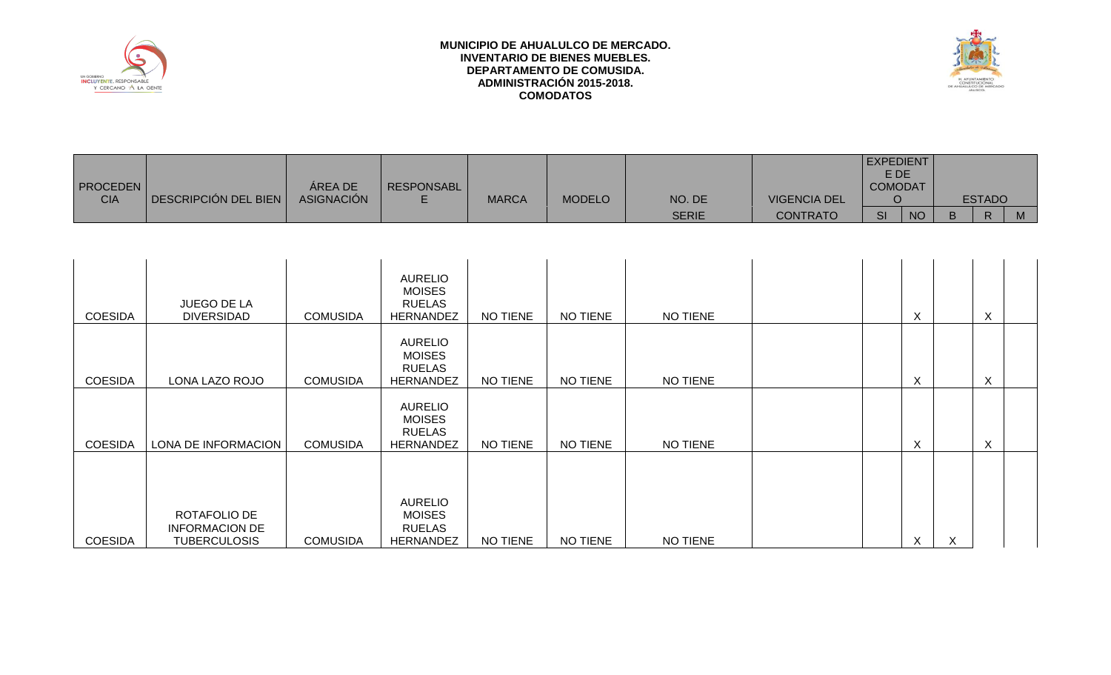



| <b>PROCEDEN</b> |                      | AREA DE           | <b>RESPONSABL</b> |              |               |              |                     | <b>EXPEDIENT</b><br>E DE<br><b>COMODAT</b> |               |   |
|-----------------|----------------------|-------------------|-------------------|--------------|---------------|--------------|---------------------|--------------------------------------------|---------------|---|
| <b>CIA</b>      | DESCRIPCIÓN DEL BIEN | <b>ASIGNACIÓN</b> |                   | <b>MARCA</b> | <b>MODELO</b> | NO. DE       | <b>VIGENCIA DEL</b> |                                            | <b>ESTADO</b> |   |
|                 |                      |                   |                   |              |               | <b>SERIE</b> | <b>CONTRATO</b>     | <b>NO</b><br><b>SI</b>                     | D             | M |

| <b>COESIDA</b> | <b>JUEGO DE LA</b><br><b>DIVERSIDAD</b>                      | <b>COMUSIDA</b> | <b>AURELIO</b><br><b>MOISES</b><br><b>RUELAS</b><br>HERNANDEZ        | <b>NO TIENE</b> | NO TIENE | NO TIENE |  | X |   | X |  |
|----------------|--------------------------------------------------------------|-----------------|----------------------------------------------------------------------|-----------------|----------|----------|--|---|---|---|--|
| <b>COESIDA</b> | LONA LAZO ROJO                                               | <b>COMUSIDA</b> | <b>AURELIO</b><br><b>MOISES</b><br><b>RUELAS</b><br><b>HERNANDEZ</b> | <b>NO TIENE</b> | NO TIENE | NO TIENE |  | X |   | X |  |
| <b>COESIDA</b> | LONA DE INFORMACION                                          | <b>COMUSIDA</b> | <b>AURELIO</b><br><b>MOISES</b><br><b>RUELAS</b><br><b>HERNANDEZ</b> | <b>NO TIENE</b> | NO TIENE | NO TIENE |  | X |   | X |  |
| <b>COESIDA</b> | ROTAFOLIO DE<br><b>INFORMACION DE</b><br><b>TUBERCULOSIS</b> | <b>COMUSIDA</b> | <b>AURELIO</b><br><b>MOISES</b><br><b>RUELAS</b><br><b>HERNANDEZ</b> | NO TIENE        | NO TIENE | NO TIENE |  | X | X |   |  |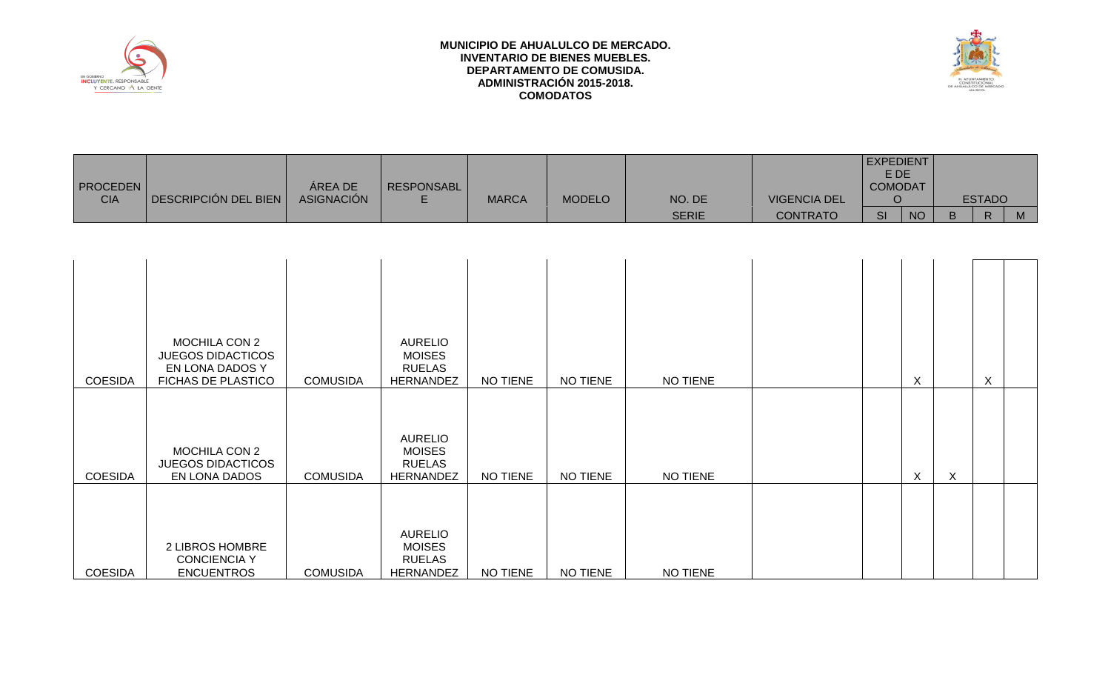



| <b>PROCEDEN</b><br><b>CIA</b>    | DESCRIPCIÓN DEL BIEN                                                                                                                                           | ÁREA DE<br><b>ASIGNACIÓN</b>       | <b>RESPONSABL</b><br>E                                                                                                         | <b>MARCA</b>         | <b>MODELO</b>        | NO. DE<br><b>SERIE</b> | <b>VIGENCIA DEL</b><br><b>CONTRATO</b> | <b>EXPEDIENT</b><br>E DE<br><b>COMODAT</b><br>$\circ$<br>SI | <b>NO</b>               | B            | <b>ESTADO</b><br>$\mathsf{R}$ | M |
|----------------------------------|----------------------------------------------------------------------------------------------------------------------------------------------------------------|------------------------------------|--------------------------------------------------------------------------------------------------------------------------------|----------------------|----------------------|------------------------|----------------------------------------|-------------------------------------------------------------|-------------------------|--------------|-------------------------------|---|
|                                  |                                                                                                                                                                |                                    |                                                                                                                                |                      |                      |                        |                                        |                                                             |                         |              |                               |   |
| <b>COESIDA</b><br><b>COESIDA</b> | <b>MOCHILA CON 2</b><br><b>JUEGOS DIDACTICOS</b><br>EN LONA DADOS Y<br>FICHAS DE PLASTICO<br><b>MOCHILA CON 2</b><br><b>JUEGOS DIDACTICOS</b><br>EN LONA DADOS | <b>COMUSIDA</b><br><b>COMUSIDA</b> | <b>AURELIO</b><br><b>MOISES</b><br><b>RUELAS</b><br>HERNANDEZ<br><b>AURELIO</b><br><b>MOISES</b><br><b>RUELAS</b><br>HERNANDEZ | NO TIENE<br>NO TIENE | NO TIENE<br>NO TIENE | NO TIENE<br>NO TIENE   |                                        |                                                             | $\sf X$<br>$\mathsf{X}$ | $\mathsf{X}$ | $\mathsf{X}$                  |   |
| <b>COESIDA</b>                   | 2 LIBROS HOMBRE<br><b>CONCIENCIA Y</b><br><b>ENCUENTROS</b>                                                                                                    | <b>COMUSIDA</b>                    | <b>AURELIO</b><br><b>MOISES</b><br><b>RUELAS</b><br><b>HERNANDEZ</b>                                                           | NO TIENE             | <b>NO TIENE</b>      | NO TIENE               |                                        |                                                             |                         |              |                               |   |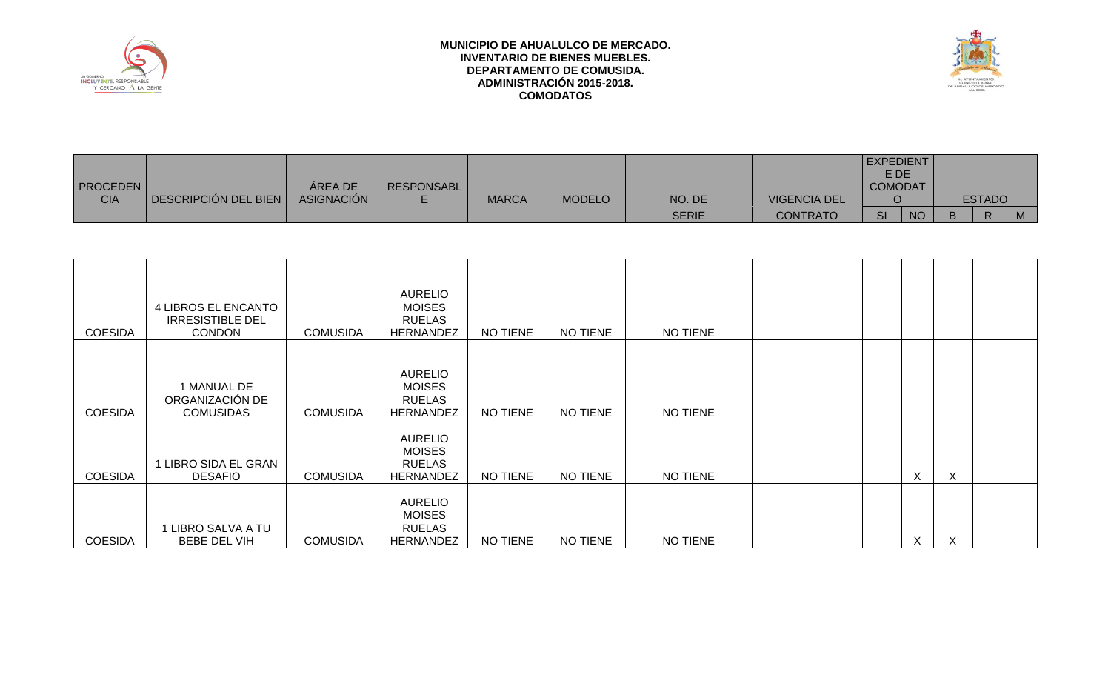

COESIDA

1 LIBRO SALVA A TU

BEBE DEL VIH COMUSIDA

AURELIO MOISES RUELAS

# **MUNICIPIO DE AHUALULCO DE MERCADO. INVENTARIO DE BIENES MUEBLES. DEPARTAMENTO DE COMUSIDA. ADMINISTRACIÓN 2015-2018. COMODATOS**



| <b>PROCEDEN</b><br><b>CIA</b> | DESCRIPCIÓN DEL BIEN                                            | ÁREA DE<br><b>ASIGNACIÓN</b> | <b>RESPONSABL</b><br>E.                                              | <b>MARCA</b>    | <b>MODELO</b> | NO. DE       | <b>VIGENCIA DEL</b> | <b>EXPEDIENT</b><br>E DE<br><b>COMODAT</b><br>$\circ$ |           |   | <b>ESTADO</b> |   |
|-------------------------------|-----------------------------------------------------------------|------------------------------|----------------------------------------------------------------------|-----------------|---------------|--------------|---------------------|-------------------------------------------------------|-----------|---|---------------|---|
|                               |                                                                 |                              |                                                                      |                 |               | <b>SERIE</b> | <b>CONTRATO</b>     | SI                                                    | <b>NO</b> | B | $\mathsf{R}$  | M |
|                               |                                                                 |                              |                                                                      |                 |               |              |                     |                                                       |           |   |               |   |
| <b>COESIDA</b>                | 4 LIBROS EL ENCANTO<br><b>IRRESISTIBLE DEL</b><br><b>CONDON</b> | <b>COMUSIDA</b>              | <b>AURELIO</b><br><b>MOISES</b><br><b>RUELAS</b><br><b>HERNANDEZ</b> | <b>NO TIENE</b> | NO TIENE      | NO TIENE     |                     |                                                       |           |   |               |   |
| <b>COESIDA</b>                | 1 MANUAL DE<br>ORGANIZACIÓN DE<br><b>COMUSIDAS</b>              | <b>COMUSIDA</b>              | <b>AURELIO</b><br><b>MOISES</b><br><b>RUELAS</b><br><b>HERNANDEZ</b> | <b>NO TIENE</b> | NO TIENE      | NO TIENE     |                     |                                                       |           |   |               |   |
| <b>COESIDA</b>                | 1 LIBRO SIDA EL GRAN<br><b>DESAFIO</b>                          | <b>COMUSIDA</b>              | <b>AURELIO</b><br><b>MOISES</b><br><b>RUELAS</b><br><b>HERNANDEZ</b> | <b>NO TIENE</b> | NO TIENE      | NO TIENE     |                     |                                                       | X         | X |               |   |

HERNANDEZ NO TIENE NO TIENE NO TIENE X X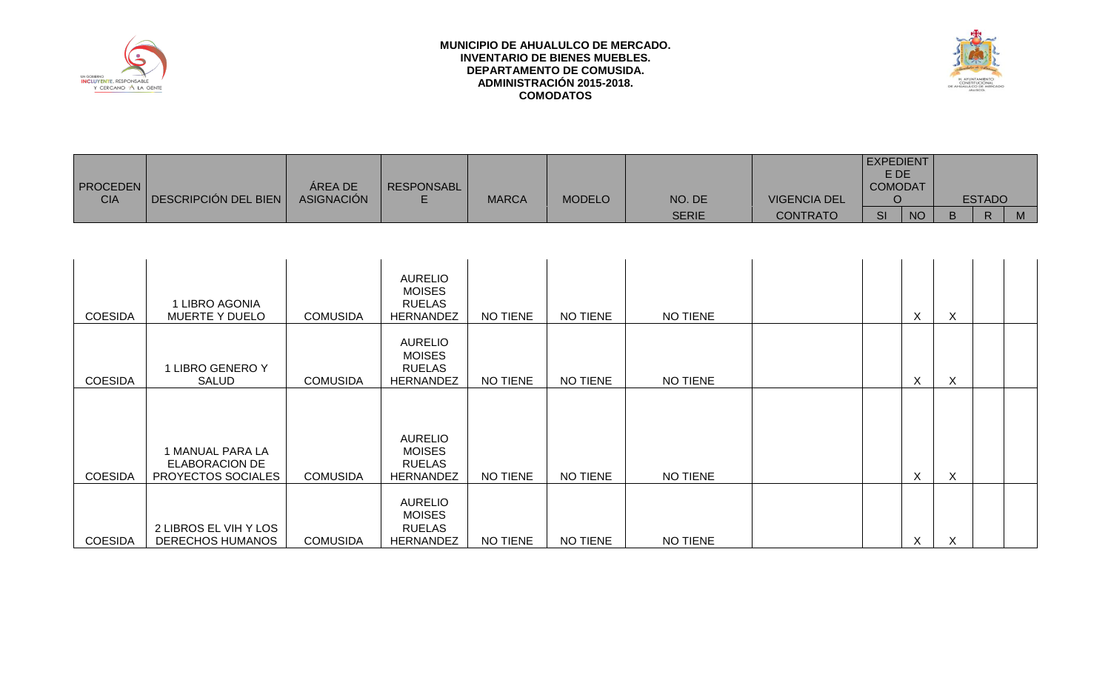



|                 |                      |                   |                   |              |               |              |                     | EXPEDIENT      |           |    |               |  |
|-----------------|----------------------|-------------------|-------------------|--------------|---------------|--------------|---------------------|----------------|-----------|----|---------------|--|
|                 |                      |                   |                   |              |               |              |                     | E DE           |           |    |               |  |
| <b>PROCEDEN</b> |                      | <b>AREA DE</b>    | <b>RESPONSABL</b> |              |               |              |                     | <b>COMODAT</b> |           |    |               |  |
| <b>CIA</b>      | DESCRIPCIÓN DEL BIEN | <b>ASIGNACIÓN</b> |                   | <b>MARCA</b> | <b>MODELO</b> | NO. DE       | <b>VIGENCIA DEL</b> |                |           |    | <b>ESTADO</b> |  |
|                 |                      |                   |                   |              |               | <b>SERIE</b> | CONTRATO            | <b>SI</b>      | <b>NO</b> | B. | D             |  |

| <b>COESIDA</b> | 1 LIBRO AGONIA<br><b>MUERTE Y DUELO</b>                         | <b>COMUSIDA</b> | <b>AURELIO</b><br><b>MOISES</b><br><b>RUELAS</b><br><b>HERNANDEZ</b> | NO TIENE | NO TIENE        | NO TIENE        |  | X | X |  |
|----------------|-----------------------------------------------------------------|-----------------|----------------------------------------------------------------------|----------|-----------------|-----------------|--|---|---|--|
| <b>COESIDA</b> | 1 LIBRO GENERO Y<br><b>SALUD</b>                                | <b>COMUSIDA</b> | <b>AURELIO</b><br><b>MOISES</b><br><b>RUELAS</b><br><b>HERNANDEZ</b> | NO TIENE | NO TIENE        | NO TIENE        |  | X | X |  |
| <b>COESIDA</b> | 1 MANUAL PARA LA<br><b>ELABORACION DE</b><br>PROYECTOS SOCIALES | <b>COMUSIDA</b> | <b>AURELIO</b><br><b>MOISES</b><br><b>RUELAS</b><br><b>HERNANDEZ</b> | NO TIENE | <b>NO TIENE</b> | <b>NO TIENE</b> |  | X | X |  |
| <b>COESIDA</b> | 2 LIBROS EL VIH Y LOS<br><b>DERECHOS HUMANOS</b>                | <b>COMUSIDA</b> | <b>AURELIO</b><br><b>MOISES</b><br><b>RUELAS</b><br><b>HERNANDEZ</b> | NO TIENE | NO TIENE        | <b>NO TIENE</b> |  | X | X |  |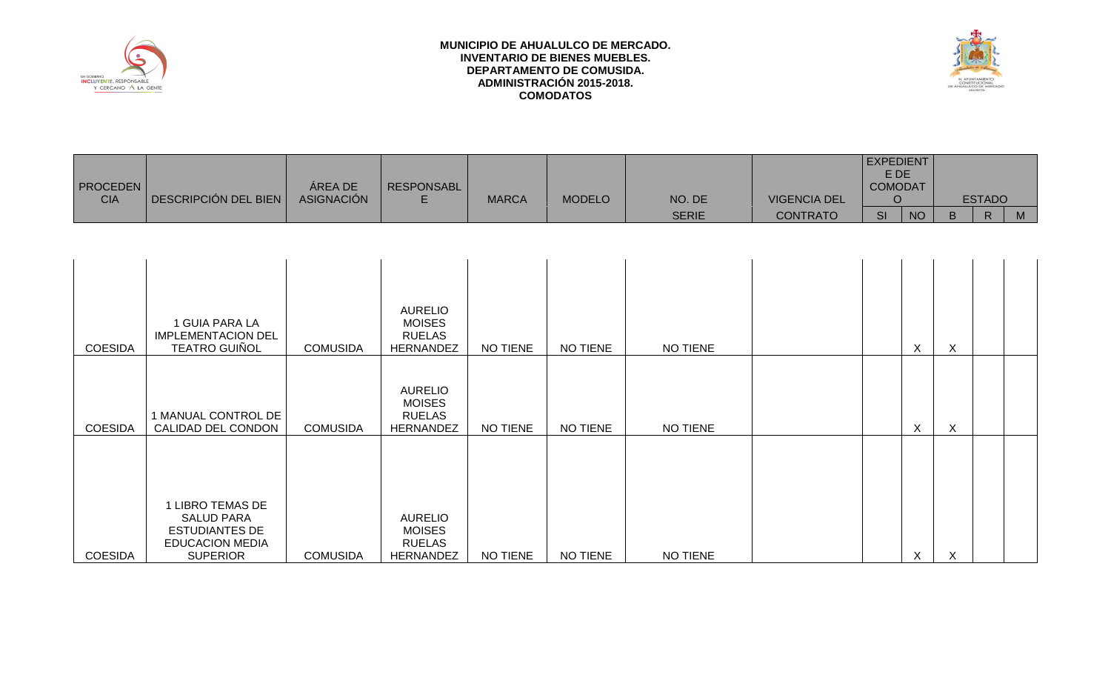



**EXPEDIENT** 

| <b>PROCEDEN</b><br><b>CIA</b> | <b>DESCRIPCIÓN DEL BIEN</b>                                                                                 | ÁREA DE<br><b>ASIGNACIÓN</b> | <b>RESPONSABL</b><br>E                                               | <b>MARCA</b> | <b>MODELO</b> | NO. DE       | <b>VIGENCIA DEL</b> | E DE<br><b>COMODAT</b><br>$\circ$ | __                        |         | <b>ESTADO</b> |   |
|-------------------------------|-------------------------------------------------------------------------------------------------------------|------------------------------|----------------------------------------------------------------------|--------------|---------------|--------------|---------------------|-----------------------------------|---------------------------|---------|---------------|---|
|                               |                                                                                                             |                              |                                                                      |              |               | <b>SERIE</b> | <b>CONTRATO</b>     | SI                                | <b>NO</b>                 | B       | $\mathsf{R}$  | M |
|                               |                                                                                                             |                              |                                                                      |              |               |              |                     |                                   |                           |         |               |   |
| <b>COESIDA</b>                | 1 GUIA PARA LA<br><b>IMPLEMENTACION DEL</b><br><b>TEATRO GUIÑOL</b>                                         | <b>COMUSIDA</b>              | <b>AURELIO</b><br><b>MOISES</b><br><b>RUELAS</b><br><b>HERNANDEZ</b> | NO TIENE     | NO TIENE      | NO TIENE     |                     |                                   | $\boldsymbol{\mathsf{X}}$ | X       |               |   |
| <b>COESIDA</b>                | 1 MANUAL CONTROL DE<br>CALIDAD DEL CONDON                                                                   | <b>COMUSIDA</b>              | <b>AURELIO</b><br><b>MOISES</b><br><b>RUELAS</b><br><b>HERNANDEZ</b> | NO TIENE     | NO TIENE      | NO TIENE     |                     |                                   | $\times$                  | X       |               |   |
| <b>COESIDA</b>                | 1 LIBRO TEMAS DE<br><b>SALUD PARA</b><br><b>ESTUDIANTES DE</b><br><b>EDUCACION MEDIA</b><br><b>SUPERIOR</b> | <b>COMUSIDA</b>              | <b>AURELIO</b><br><b>MOISES</b><br><b>RUELAS</b><br><b>HERNANDEZ</b> | NO TIENE     | NO TIENE      | NO TIENE     |                     |                                   | $\boldsymbol{\mathsf{X}}$ | $\sf X$ |               |   |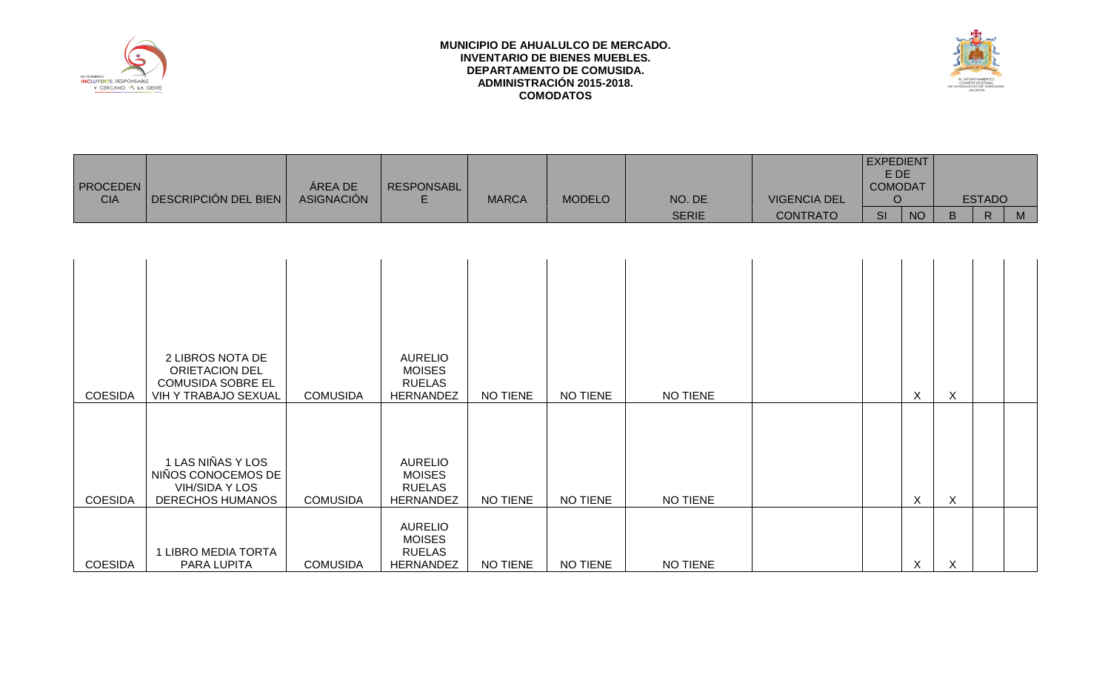



| <b>PROCEDEN</b><br><b>CIA</b> | DESCRIPCIÓN DEL BIEN                                                                          | ÁREA DE<br><b>ASIGNACIÓN</b> | <b>RESPONSABL</b><br>E.                                              | <b>MARCA</b>    | <b>MODELO</b> | NO. DE       | <b>VIGENCIA DEL</b> | <b>EXPEDIENT</b><br>E DE<br><b>COMODAT</b><br>$\circ$ |             |              | <b>ESTADO</b> |   |
|-------------------------------|-----------------------------------------------------------------------------------------------|------------------------------|----------------------------------------------------------------------|-----------------|---------------|--------------|---------------------|-------------------------------------------------------|-------------|--------------|---------------|---|
|                               |                                                                                               |                              |                                                                      |                 |               | <b>SERIE</b> | <b>CONTRATO</b>     | <b>SI</b>                                             | <b>NO</b>   | B            | $\mathsf{R}$  | M |
|                               |                                                                                               |                              |                                                                      |                 |               |              |                     |                                                       |             |              |               |   |
| <b>COESIDA</b>                | 2 LIBROS NOTA DE<br><b>ORIETACION DEL</b><br><b>COMUSIDA SOBRE EL</b><br>VIH Y TRABAJO SEXUAL | <b>COMUSIDA</b>              | <b>AURELIO</b><br><b>MOISES</b><br><b>RUELAS</b><br>HERNANDEZ        | NO TIENE        | NO TIENE      | NO TIENE     |                     |                                                       | $\times$    | X            |               |   |
| <b>COESIDA</b>                | 1 LAS NIÑAS Y LOS<br>NIÑOS CONOCEMOS DE<br><b>VIH/SIDA Y LOS</b><br>DERECHOS HUMANOS          | <b>COMUSIDA</b>              | <b>AURELIO</b><br><b>MOISES</b><br><b>RUELAS</b><br>HERNANDEZ        | <b>NO TIENE</b> | NO TIENE      | NO TIENE     |                     |                                                       | $\mathsf X$ | $\mathsf{X}$ |               |   |
| <b>COESIDA</b>                | 1 LIBRO MEDIA TORTA<br>PARA LUPITA                                                            | <b>COMUSIDA</b>              | <b>AURELIO</b><br><b>MOISES</b><br><b>RUELAS</b><br><b>HERNANDEZ</b> | <b>NO TIENE</b> | NO TIENE      | NO TIENE     |                     |                                                       | X           | X            |               |   |